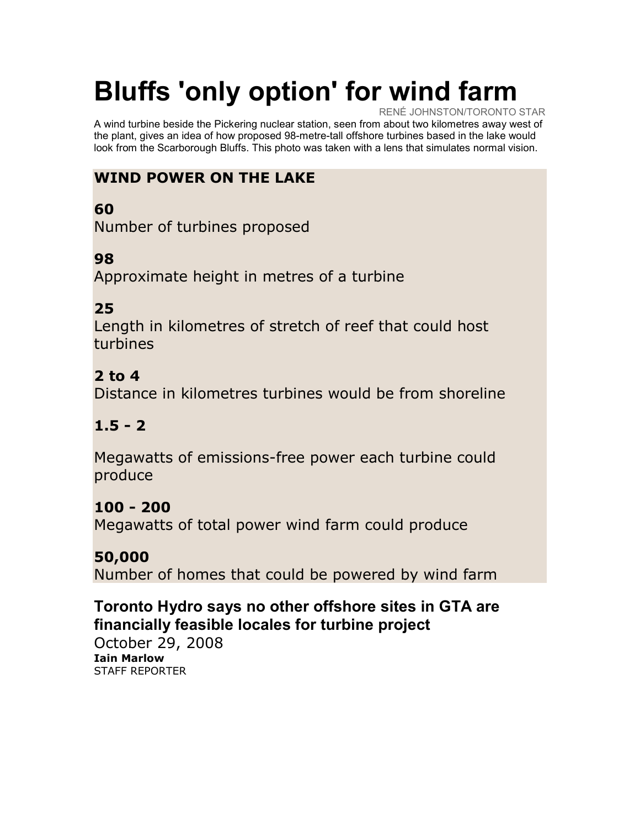# Bluffs 'only option' for wind farm

RENÉ JOHNSTON/TORONTO STAR A wind turbine beside the Pickering nuclear station, seen from about two kilometres away west of the plant, gives an idea of how proposed 98-metre-tall offshore turbines based in the lake would look from the Scarborough Bluffs. This photo was taken with a lens that simulates normal vision.

# WIND POWER ON THE LAKE

## 60

Number of turbines proposed

## 98

Approximate height in metres of a turbine

#### 25

Length in kilometres of stretch of reef that could host turbines

## 2 to 4

Distance in kilometres turbines would be from shoreline

#### $1.5 - 2$

Megawatts of emissions-free power each turbine could produce

#### 100 - 200

Megawatts of total power wind farm could produce

#### 50,000

Number of homes that could be powered by wind farm

#### Toronto Hydro says no other offshore sites in GTA are financially feasible locales for turbine project

October 29, 2008 Iain Marlow STAFF REPORTER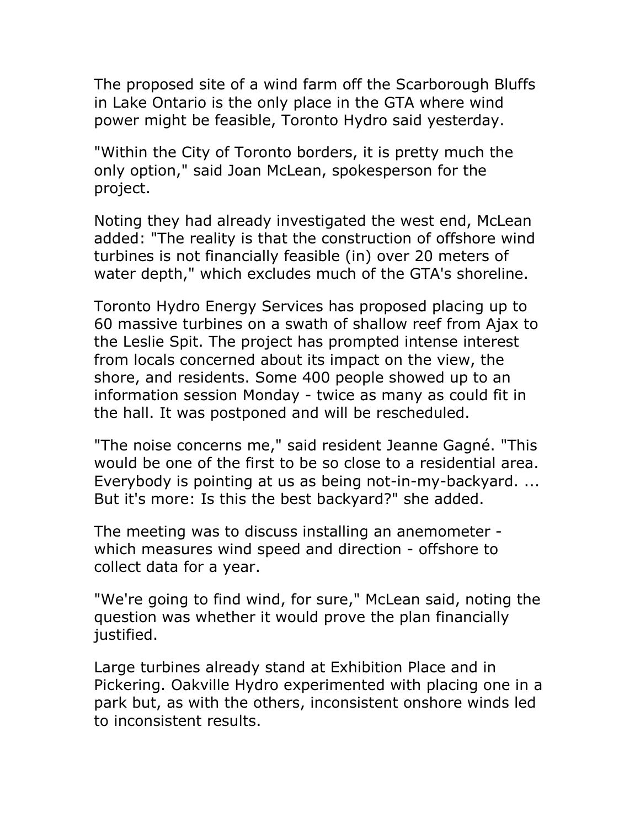The proposed site of a wind farm off the Scarborough Bluffs in Lake Ontario is the only place in the GTA where wind power might be feasible, Toronto Hydro said yesterday.

"Within the City of Toronto borders, it is pretty much the only option," said Joan McLean, spokesperson for the project.

Noting they had already investigated the west end, McLean added: "The reality is that the construction of offshore wind turbines is not financially feasible (in) over 20 meters of water depth," which excludes much of the GTA's shoreline.

Toronto Hydro Energy Services has proposed placing up to 60 massive turbines on a swath of shallow reef from Ajax to the Leslie Spit. The project has prompted intense interest from locals concerned about its impact on the view, the shore, and residents. Some 400 people showed up to an information session Monday - twice as many as could fit in the hall. It was postponed and will be rescheduled.

"The noise concerns me," said resident Jeanne Gagné. "This would be one of the first to be so close to a residential area. Everybody is pointing at us as being not-in-my-backyard. ... But it's more: Is this the best backyard?" she added.

The meeting was to discuss installing an anemometer which measures wind speed and direction - offshore to collect data for a year.

"We're going to find wind, for sure," McLean said, noting the question was whether it would prove the plan financially justified.

Large turbines already stand at Exhibition Place and in Pickering. Oakville Hydro experimented with placing one in a park but, as with the others, inconsistent onshore winds led to inconsistent results.